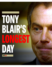# TONY BLAIR'S LUCIEST. DAY

**ColdType**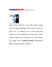# Sundayherald (JANUARY 18, 2004)



British Prime Minister Tony Blair will be faced with two huge challenges in late January when he must win a Commons vote to pass education reforms and the publication of the report of the Hutton Inquiry into the death of Dr. David Kelly. An 8-page essay by **James Cusick**, Westminster Editor, Sunday Herald, Glasgow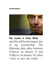

**My name is Tony Blair** … and this will be the longest day of my premiership. The following takes place between 12.00p.m. on January 27 and 12.00p.m. on January 28, when I have to save the world ...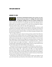#### JANUARY 27, 2004

#### **Westminster's bell should sound the same as it does every day. Except on this day, January 27, nothing will sound normal, even Big Ben. Nothing over the next 24 hours is going to feel** 12:00

routine or politically comfortable. This will be get-even day, decision day, pay back day, a day to survive or be buried. At its end, Big Ben will sound to Tony Blair like either a death knell or the peacetime equivalent of a war-time siren that signals the enemy's bombs have failed to make a direct hit. This will be judgement day.

Just before noon, the electronic gates of Downing Street will open to welcome a small unmarked van. Armed police will have already carried out a thorough search before the button is pressed to open the security gate. A second search will be carried out. If clean, the road-level steel barrier will lower and the van will pass through and along the short stretch of road to Number 10.

The van will have been given a discreet armed escort from a printers' firm, believed to be somewhere in the southeast, all the way to Whitehall. Since January 19, and under security that kept their operation a secret even from key intelligence officials, the printers will have been producing copies of a report that will decide whether or not the current Prime Minister gets to keep his job and fight the next general election as leader of the Labour Party. If all the advanced publicity amounts to anything, the report – written by the retired appeal court judge, Lord Hutton – should have all the elements of a whodunit page-turning political spy thriller. Britain's media has waited months for this day, the 24-hour agony of the Prime Minister is their agony too.

At precisely the same time as the van swings into Downing Street, similar deliveries – most of them covertly arranged at destinations in and around London and pre-agreed with the Hutton Inquiry staff – will be made to the BBC, to its Today programme journalist Andrew Gilligan, to the BBC Newsnight journalist Susan Watts and to the wife of the weapons scientist, Dr David Kelly, whose suicide sparked the investigation. These are the main players of the inquiry who have waited 15 weeks since Hutton ended his final session at the Royal Courts of Justice last year.

Downing Street staff will take the boxed package of reports into Number 10 and across the checked black and white floor of the entrance hall , which looks like a giant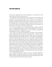chess board: an analogy not lost on those advising Blair on the strategic moves he'll need to make over the next 24 hours to survive.

How he decides to move after seeing the executive summary of the report will be only one hurdle in the 24-hour period. Blair cannot checkmate or even stalemate his opponents by dealing with Hutton alone. Over the next seven hours he'll have the newly delivered report in front of him and then leave his office for the Commons to face the daunting prospect of a government rebellion over student top-up fees. The vote is due at 7pm. Its outcome will determine the political climate into which Hutton will deliver his televised summary at around noon the next day.

Lose the vote on tuition fees, and a wounded Blair might be unable to politically survive even diplomatically-phrased criticism in Hutton's lengthy text. But win the tuition vote and Blair will be emboldened to see out any criticism he can legalistically and linguistically mould into a different interpretation.

There is only one scenario that Downing Street fears above all else: the prospect, however unlikely, that Hutton's criticism of the Prime Minister – especially over his implied helmsmanship of the strategy which forced Kelly's name out into the public domain and which may have influenced his suicide – will be direct and unambiguous.

Blair's Downing Street office isn't that fancy for a prime minister; a smallish classicalstyle desk, covered with family pictures, sits next to a bright airy window. Around the office are high-backed, red-leather armchairs. In these chairs, before the afternoon is out, will be a series of advisers and strategists: the Lord Chancellor Lord Falconer, director of communications Dave Hill, chief of staff Jonathan Powell, director of government relations Sally Morgan and, perhaps, director of political operations Pat McFadden. The advice of the former spinner-in-chief, Alastair Campbell, is likely to be sought on a continuous open phone line. If Hutton is bad, Campbell will become a political Samaritan, offering solace and advice on how Blair can spin himself out of the hole. If Hutton is good, Campbell will suggest an attack strategy to get everyone through the next day, and probably the next year.

Like a surgical team desperate to discover the cause of a death, the dissection of Hutton's findings will begin within minutes of the report coming into Blair's office. While the dissection is taking place, Blair will need to take on board either good or bad news from his government's chief whip, Hilary Armstrong.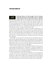

# **Armstrong will give it to Blair straight. The first Commons motion that threatened to derail Blair's plans to introduce variable tuition fees for universities down south was signed by**

more than 150 government rebels. As the package has been watered down and adjustments made to meet the concerns of some in the rebellion, the alliance has shrunk. Even though the arithmetic of Blair's solution offers less than £1 billion to solve the £11bn funding gap said to exist inside the universities, Blair has tried to sell the tuition package, as one MP says, as "astonishingly an Old Labour solution. From a fix for the elite, it has become a saviour for the poor and the needy".

With honesty a tough commodity to find in the corridors of Westminster at the moment, Armstrong will have her job cut out. She knows the confluence timing of the tuition-fee vote and Hutton will be to her advantage.The majority of the party still back Blair. "One of the whips brought up what happened to the Tories after they dumped Thatcher," said one MP who claimed he was "talked-to" by a member of the whips office. "Talked to" is Westminster's equivalent of an Aikido arm-lock and a threatened knee in the groin.

She'll tell Blair at around 2pm that the rebel numbers have substantially shrunk. And she'll come back again around 6pm to give her last update before the vote. Numbers? Blair needs a rebellion of less than 81 from the government benches, if all other MPs vote against the government. Even with the edges crumbling since the date of Hutton was announced last week, sources near to the whips office say Armstrong will have the tough job of saying it "could come down to single figures".

At the core of the rebellion are Labour MPs who believe Blair has served his purpose and they simply want another person – Gordon Brown – in charge. The changes to the tuition package, the timing of Hutton, the prospect of damaging the PM at the worst possible time. They care not. Armstrong will tell Blair of an effective rebel whipping operation led by the Brownite former whip, Nick Brown.

Cameras will do all they can to catch the mood inside Blair's car as it exits parliament's main gate on its way back to Downing Street. A lost vote by the government, and television news editors will be unable to resist comparing the image with Thatcher's tear-filled face inside her car as she left the Commons for the last time as Prime Minister. But a win by the government, and the entire focus will shift to noon on Wednesday.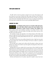The BBC will be in the best position to judge how the events will synergise. It will have Hutton for seven hours. Pundits from other outlets will dissect how the BBC is reporting events. Back inside Downing Street, if there has been a positive vote and the report on his desk is defendable, Blair will be able to enjoy an evening meal with his wife for the first time in months. But a lost vote and a potentially difficult report?

#### JANUARY 28, 2004

**As midnight and the prospect of a sleepless night approaches, this is time Blair is likely to phone his closest advisers: Peter Mandelson, Charlie Falconer, perhaps Alan Milburn, the** former health secretary, and Campbell. According to one former Number 10 aide: 00:00

"Campbell will expect a call in the middle of the night, and he's likely to get one. How the hell can you sleep anyway?"

The hundreds of pages and appendices in the Hutton Report will be Blair's only option of a night-time read. But nearly seven years into the job – having survived tough vote after tough vote and the political fallout from three wars – Blair must have learned to be a good sleeper.

But he'll have steered clear of any caffeine during the last day. A high heart rate, given his recent health scares, will be the last thing he will want to endure in a period of heightened stress.

By 2am, Blair may be asleep, but his office staff will continue to dissect and scour Hutton's text. Hutton took months to put this together, Downing Street will now have less than 12 hours left.

Although Blair may have nodded off, the same luxury will not befall Tory leader Michael Howard or LibDem leader Charles Kennedy. Both men, and two of their aides, will be allowed into the Cabinet Office at 6am, locked in for a period of six hours till Hutton formally publishes his findings with an oral and televised summary from the Royal Courts of Justice at noon. "This is twice as much time as the Tory government gave Robin Cook to dissect the Scott Report," said the PM's spokesman, Tom Kelly. The message? They should be damn grateful for this magnanimous gesture.

Howard and Kennedy have two options: slog into the night to ensure they know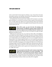where to look inside the dense legal text of Hutton, or get a decent sleep in the hope that political experience and adrenaline will lead them to the gold they expect Hutton will have diplomatically spread through his findings.

For Kennedy there is less pressure. In the Commons he'll concentrate on one thing: Blair took Britain to war focused on the threat of Iraq's weapons of mass destruction. Now, even Blair admits they might never be found. Kennedy will leave the barristerial fireworks, the fire-brand advocacy, to the pugilistic Howard. Kennedy will try and score with the fraud of the war.

#### **Blair will be awake, up and at his desk. The briefings will begin instantly. Overnight the summary drafts of Hutton will have been improved on; the fallout from the Commons vote** 07:00

analysed. He will have five hours before he's back at the dispatch box again, and again fighting for his political survival.

While Howard and Kennedy slave away inside the Cabinet Office with highlighters and scribbled notes, Blair will again be at his desk. The focus? Are Hutton's comments on how the two dossiers were put together defendable? If Dr Kelly is criticised, how far can he diplomatically go into pointing this out? Is the role of Campbell criticised? If Hutton points to the vendetta against the BBC, how can he defend the government? And if there's enough criticism of the BBC, how far can he use this to deflect criticism of himself? And finally, in the passages on the naming of Dr Kelly, how far will Hutton go in pointing a finger at the PM? The folders in Blair's office will snap shut just after 11am. He'll shower, change and just walk down to the entrance hall. He may smile at those around him, raise his eyebrows and in a gesture seen a thousand times over the years, say: "Right, OK, let's go."



# **He may already be in his office in the Commons when Hutton begins his televised summary. If everyone around Blair – and Blair himself – has done his job properly, Hutton's summary**

will offer no surprises. And the speech Blair will be holding in the small folder he'll open at the dispatch box at 12.30pm on January 28 will determine how the history books judge the premiership of Anthony Charles Lynton Blair, MP for Sedgefield.